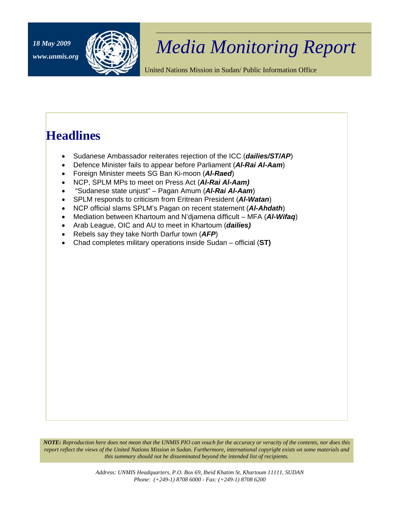

## <sup>18 May 2009</sup> *Media Monitoring Report*

United Nations Mission in Sudan/ Public Information Office

## **Headlines**

- Sudanese Ambassador reiterates rejection of the ICC (*dailies/ST/AP*)
- Defence Minister fails to appear before Parliament (*Al-Rai Al-Aam*)
- Foreign Minister meets SG Ban Ki-moon (*Al-Raed*)
- NCP, SPLM MPs to meet on Press Act (*Al-Rai Al-Aam)*
- "Sudanese state unjust" Pagan Amum (*Al-Rai Al-Aam*)
- SPLM responds to criticism from Eritrean President (*Al-Watan*)
- NCP official slams SPLM's Pagan on recent statement (*Al-Ahdath*)
- Mediation between Khartoum and N'djamena difficult MFA (*Al-Wifaq*)
- Arab League, OIC and AU to meet in Khartoum (*dailies)*
- Rebels say they take North Darfur town (*AFP*)
- Chad completes military operations inside Sudan official (**ST)**

*NOTE: Reproduction here does not mean that the UNMIS PIO can vouch for the accuracy or veracity of the contents, nor does this report reflect the views of the United Nations Mission in Sudan. Furthermore, international copyright exists on some materials and this summary should not be disseminated beyond the intended list of recipients.*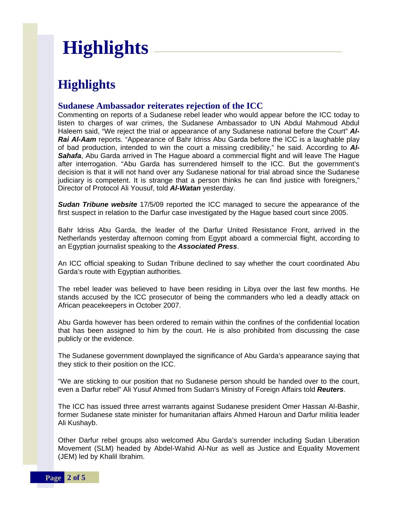# **Highlights**

## **Highlights**

#### **Sudanese Ambassador reiterates rejection of the ICC**

Commenting on reports of a Sudanese rebel leader who would appear before the ICC today to listen to charges of war crimes, the Sudanese Ambassador to UN Abdul Mahmoud Abdul Haleem said, "We reject the trial or appearance of any Sudanese national before the Court" *Al-Rai Al-Aam* reports. "Appearance of Bahr Idriss Abu Garda before the ICC is a laughable play of bad production, intended to win the court a missing credibility," he said. According to *Al-Sahafa*, Abu Garda arrived in The Hague aboard a commercial flight and will leave The Hague after interrogation. "Abu Garda has surrendered himself to the ICC. But the government's decision is that it will not hand over any Sudanese national for trial abroad since the Sudanese judiciary is competent. It is strange that a person thinks he can find justice with foreigners," Director of Protocol Ali Yousuf, told *Al-Watan* yesterday.

**Sudan Tribune website** 17/5/09 reported the ICC managed to secure the appearance of the first suspect in relation to the Darfur case investigated by the Hague based court since 2005.

Bahr Idriss Abu Garda, the leader of the Darfur United Resistance Front, arrived in the Netherlands yesterday afternoon coming from Egypt aboard a commercial flight, according to an Egyptian journalist speaking to the *Associated Press*.

An ICC official speaking to Sudan Tribune declined to say whether the court coordinated Abu Garda's route with Egyptian authorities.

The rebel leader was believed to have been residing in Libya over the last few months. He stands accused by the ICC prosecutor of being the commanders who led a deadly attack on African peacekeepers in October 2007.

Abu Garda however has been ordered to remain within the confines of the confidential location that has been assigned to him by the court. He is also prohibited from discussing the case publicly or the evidence.

The Sudanese government downplayed the significance of Abu Garda's appearance saying that they stick to their position on the ICC.

"We are sticking to our position that no Sudanese person should be handed over to the court, even a Darfur rebel" Ali Yusuf Ahmed from Sudan's Ministry of Foreign Affairs told *Reuters*.

The ICC has issued three arrest warrants against Sudanese president Omer Hassan Al-Bashir, former Sudanese state minister for humanitarian affairs Ahmed Haroun and Darfur militia leader Ali Kushayb.

Other Darfur rebel groups also welcomed Abu Garda's surrender including Sudan Liberation Movement (SLM) headed by Abdel-Wahid Al-Nur as well as Justice and Equality Movement (JEM) led by Khalil Ibrahim.

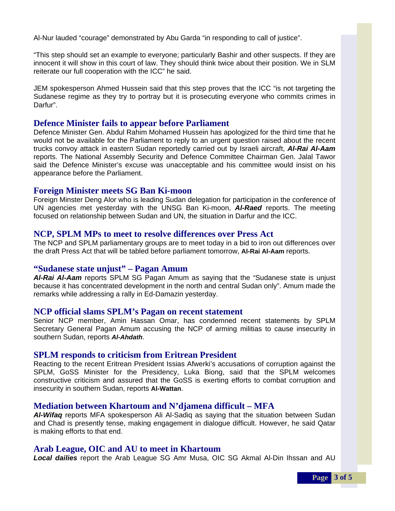Al-Nur lauded "courage" demonstrated by Abu Garda "in responding to call of justice".

"This step should set an example to everyone; particularly Bashir and other suspects. If they are innocent it will show in this court of law. They should think twice about their position. We in SLM reiterate our full cooperation with the ICC" he said.

JEM spokesperson Ahmed Hussein said that this step proves that the ICC "is not targeting the Sudanese regime as they try to portray but it is prosecuting everyone who commits crimes in Darfur".

#### **Defence Minister fails to appear before Parliament**

Defence Minister Gen. Abdul Rahim Mohamed Hussein has apologized for the third time that he would not be available for the Parliament to reply to an urgent question raised about the recent trucks convoy attack in eastern Sudan reportedly carried out by Israeli aircraft, *Al-Rai Al-Aam*  reports. The National Assembly Security and Defence Committee Chairman Gen. Jalal Tawor said the Defence Minister's excuse was unacceptable and his committee would insist on his appearance before the Parliament.

#### **Foreign Minister meets SG Ban Ki-moon**

Foreign Minster Deng Alor who is leading Sudan delegation for participation in the conference of UN agencies met yesterday with the UNSG Ban Ki-moon, *Al-Raed* reports. The meeting focused on relationship between Sudan and UN, the situation in Darfur and the ICC.

#### **NCP, SPLM MPs to meet to resolve differences over Press Act**

The NCP and SPLM parliamentary groups are to meet today in a bid to iron out differences over the draft Press Act that will be tabled before parliament tomorrow, **Al-Rai Al-Aam** reports.

#### **"Sudanese state unjust" – Pagan Amum**

*Al-Rai Al-Aam* reports SPLM SG Pagan Amum as saying that the "Sudanese state is unjust because it has concentrated development in the north and central Sudan only". Amum made the remarks while addressing a rally in Ed-Damazin yesterday.

#### **NCP official slams SPLM's Pagan on recent statement**

Senior NCP member, Amin Hassan Omar, has condemned recent statements by SPLM Secretary General Pagan Amum accusing the NCP of arming militias to cause insecurity in southern Sudan, reports *Al-Ahdath*.

#### **SPLM responds to criticism from Eritrean President**

Reacting to the recent Eritrean President Issias Afwerki's accusations of corruption against the SPLM, GoSS Minister for the Presidency, Luka Biong, said that the SPLM welcomes constructive criticism and assured that the GoSS is exerting efforts to combat corruption and insecurity in southern Sudan, reports **Al-Wattan**.

#### **Mediation between Khartoum and N'djamena difficult – MFA**

*Al-Wifaq* reports MFA spokesperson Ali Al-Sadiq as saying that the situation between Sudan and Chad is presently tense, making engagement in dialogue difficult. However, he said Qatar is making efforts to that end.

#### **Arab League, OIC and AU to meet in Khartoum**

*Local dailies* report the Arab League SG Amr Musa, OIC SG Akmal Al-Din Ihssan and AU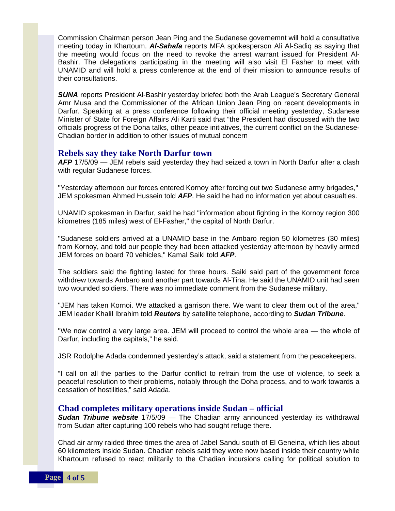Commission Chairman person Jean Ping and the Sudanese governemnt will hold a consultative meeting today in Khartoum. *Al-Sahafa* reports MFA spokesperson Ali Al-Sadiq as saying that the meeting would focus on the need to revoke the arrest warrant issued for President Al-Bashir. The delegations participating in the meeting will also visit El Fasher to meet with UNAMID and will hold a press conference at the end of their mission to announce results of their consultations.

*SUNA* reports President Al-Bashir yesterday briefed both the Arab League's Secretary General Amr Musa and the Commissioner of the African Union Jean Ping on recent developments in Darfur. Speaking at a press conference following their official meeting yesterday, Sudanese Minister of State for Foreign Affairs Ali Karti said that "the President had discussed with the two officials progress of the Doha talks, other peace initiatives, the current conflict on the Sudanese-Chadian border in addition to other issues of mutual concern

#### **Rebels say they take North Darfur town**

*AFP* 17/5/09 — JEM rebels said yesterday they had seized a town in North Darfur after a clash with regular Sudanese forces.

"Yesterday afternoon our forces entered Kornoy after forcing out two Sudanese army brigades," JEM spokesman Ahmed Hussein told *AFP*. He said he had no information yet about casualties.

UNAMID spokesman in Darfur, said he had "information about fighting in the Kornoy region 300 kilometres (185 miles) west of El-Fasher," the capital of North Darfur.

"Sudanese soldiers arrived at a UNAMID base in the Ambaro region 50 kilometres (30 miles) from Kornoy, and told our people they had been attacked yesterday afternoon by heavily armed JEM forces on board 70 vehicles," Kamal Saiki told *AFP*.

The soldiers said the fighting lasted for three hours. Saiki said part of the government force withdrew towards Ambaro and another part towards Al-Tina. He said the UNAMID unit had seen two wounded soldiers. There was no immediate comment from the Sudanese military.

"JEM has taken Kornoi. We attacked a garrison there. We want to clear them out of the area," JEM leader Khalil Ibrahim told *Reuters* by satellite telephone, according to *Sudan Tribune*.

"We now control a very large area. JEM will proceed to control the whole area — the whole of Darfur, including the capitals," he said.

JSR Rodolphe Adada condemned yesterday's attack, said a statement from the peacekeepers.

"I call on all the parties to the Darfur conflict to refrain from the use of violence, to seek a peaceful resolution to their problems, notably through the Doha process, and to work towards a cessation of hostilities," said Adada.

#### **Chad completes military operations inside Sudan – official**

*Sudan Tribune website* 17/5/09 — The Chadian army announced yesterday its withdrawal from Sudan after capturing 100 rebels who had sought refuge there.

Chad air army raided three times the area of Jabel Sandu south of El Geneina, which lies about 60 kilometers inside Sudan. Chadian rebels said they were now based inside their country while Khartoum refused to react militarily to the Chadian incursions calling for political solution to